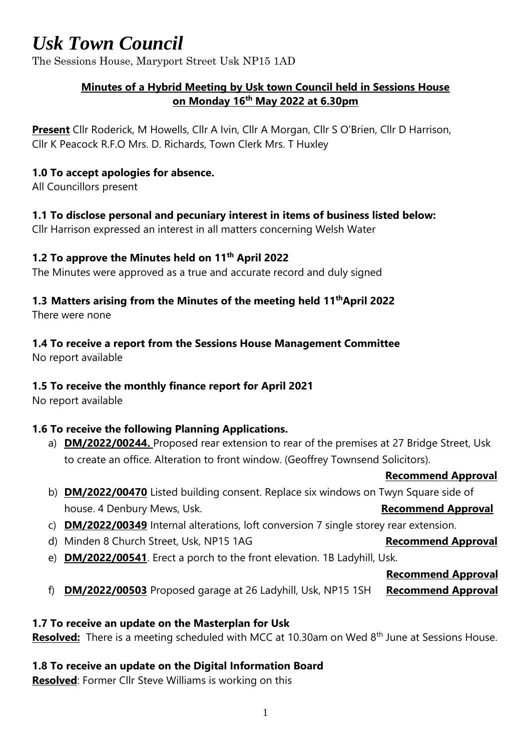## *Usk Town Council*

The Sessions House, Maryport Street Usk NP15 1AD

### **Minutes of a Hybrid Meeting by Usk town Council held in Sessions House on Monday 16 th May 2022 at 6.30pm**

**Present** Cllr Roderick, M Howells, Cllr A Ivin, Cllr A Morgan, Cllr S O'Brien, Cllr D Harrison, Cllr K Peacock R.F.O Mrs. D. Richards, Town Clerk Mrs. T Huxley

#### **1.0 To accept apologies for absence.**

All Councillors present

#### **1.1 To disclose personal and pecuniary interest in items of business listed below:**

Cllr Harrison expressed an interest in all matters concerning Welsh Water

#### **1.2 To approve the Minutes held on 11th April 2022**

The Minutes were approved as a true and accurate record and duly signed

#### **1.3 Matters arising from the Minutes of the meeting held 11 thApril 2022**

There were none

### **1.4 To receive a report from the Sessions House Management Committee**

No report available

## **1.5 To receive the monthly finance report for April 2021**

No report available

## **1.6 To receive the following Planning Applications.**

a) **DM/2022/00244.** Proposed rear extension to rear of the premises at 27 Bridge Street, Usk to create an office. Alteration to front window. (Geoffrey Townsend Solicitors).

#### **Recommend Approval**

- b) **DM/2022/00470** Listed building consent. Replace six windows on Twyn Square side of house. 4 Denbury Mews, Usk. **Recommend Approval**
- c) **DM/2022/00349** Internal alterations, loft conversion 7 single storey rear extension.
- d) Minden 8 Church Street, Usk, NP15 1AG **Recommend Approval**
- e) **DM/2022/00541**. Erect a porch to the front elevation. 1B Ladyhill, Usk.

 **Recommend Approval**

f) **DM/2022/00503** Proposed garage at 26 Ladyhill, Usk, NP15 1SH **Recommend Approval**

#### **1.7 To receive an update on the Masterplan for Usk**

**Resolved:** There is a meeting scheduled with MCC at 10.30am on Wed 8<sup>th</sup> June at Sessions House.

#### **1.8 To receive an update on the Digital Information Board**

**Resolved**: Former Cllr Steve Williams is working on this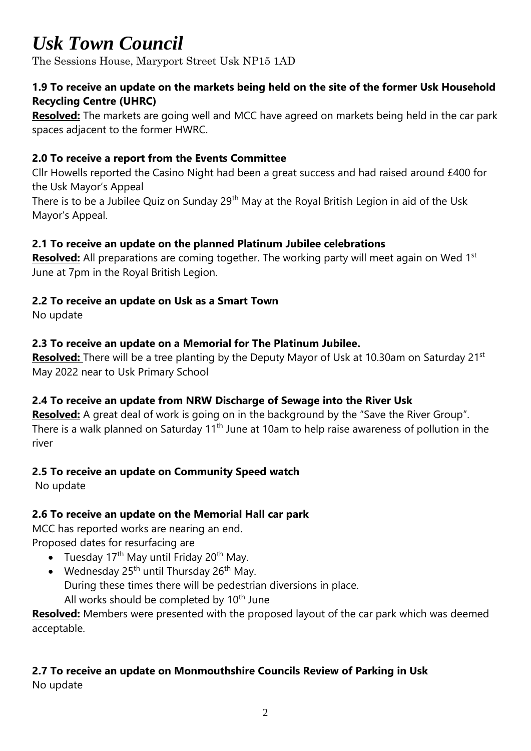# *Usk Town Council*

The Sessions House, Maryport Street Usk NP15 1AD

### **1.9 To receive an update on the markets being held on the site of the former Usk Household Recycling Centre (UHRC)**

**Resolved:** The markets are going well and MCC have agreed on markets being held in the car park spaces adjacent to the former HWRC.

## **2.0 To receive a report from the Events Committee**

Cllr Howells reported the Casino Night had been a great success and had raised around £400 for the Usk Mayor's Appeal

There is to be a Jubilee Quiz on Sunday 29<sup>th</sup> May at the Royal British Legion in aid of the Usk Mayor's Appeal.

## **2.1 To receive an update on the planned Platinum Jubilee celebrations**

**Resolved:** All preparations are coming together. The working party will meet again on Wed 1<sup>st</sup> June at 7pm in the Royal British Legion.

### **2.2 To receive an update on Usk as a Smart Town**

No update

### **2.3 To receive an update on a Memorial for The Platinum Jubilee.**

**Resolved:** There will be a tree planting by the Deputy Mayor of Usk at 10.30am on Saturday 21<sup>st</sup> May 2022 near to Usk Primary School

## **2.4 To receive an update from NRW Discharge of Sewage into the River Usk**

**Resolved:** A great deal of work is going on in the background by the "Save the River Group". There is a walk planned on Saturday 11<sup>th</sup> June at 10am to help raise awareness of pollution in the river

## **2.5 To receive an update on Community Speed watch**

No update

## **2.6 To receive an update on the Memorial Hall car park**

MCC has reported works are nearing an end.

Proposed dates for resurfacing are

- Tuesday 17<sup>th</sup> May until Friday 20<sup>th</sup> May.
- Wednesday  $25<sup>th</sup>$  until Thursday  $26<sup>th</sup>$  May. During these times there will be pedestrian diversions in place. All works should be completed by 10<sup>th</sup> June

**Resolved:** Members were presented with the proposed layout of the car park which was deemed acceptable.

### **2.7 To receive an update on Monmouthshire Councils Review of Parking in Usk** No update